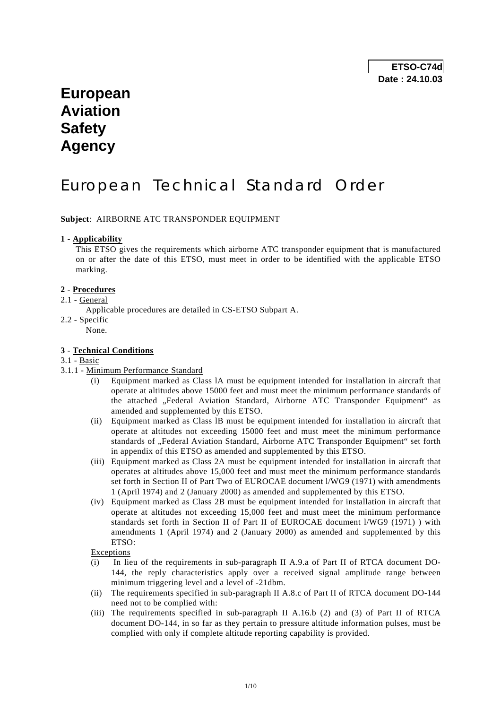# **European Aviation Safety Agency**

# European Technical Standard Order

**Subject**: AIRBORNE ATC TRANSPONDER EQUIPMENT

## **1 - Applicability**

 This ETSO gives the requirements which airborne ATC transponder equipment that is manufactured on or after the date of this ETSO, must meet in order to be identified with the applicable ETSO marking.

## **2 - Procedures**

## 2.1 - General

- Applicable procedures are detailed in CS-ETSO Subpart A.
- 2.2 Specific

None.

## **3 - Technical Conditions**

- 3.1 Basic
- 3.1.1 Minimum Performance Standard
	- Equipment marked as Class 1A must be equipment intended for installation in aircraft that operate at altitudes above 15000 feet and must meet the minimum performance standards of the attached "Federal Aviation Standard, Airborne ATC Transponder Equipment" as amended and supplemented by this ETSO.
	- (ii) Equipment marked as Class lB must be equipment intended for installation in aircraft that operate at altitudes not exceeding 15000 feet and must meet the minimum performance standards of "Federal Aviation Standard, Airborne ATC Transponder Equipment" set forth in appendix of this ETSO as amended and supplemented by this ETSO.
	- (iii) Equipment marked as Class 2A must be equipment intended for installation in aircraft that operates at altitudes above 15,000 feet and must meet the minimum performance standards set forth in Section II of Part Two of EUROCAE document l/WG9 (1971) with amendments 1 (April 1974) and 2 (January 2000) as amended and supplemented by this ETSO.
	- (iv) Equipment marked as Class 2B must be equipment intended for installation in aircraft that operate at altitudes not exceeding 15,000 feet and must meet the minimum performance standards set forth in Section II of Part II of EUROCAE document l/WG9 (1971) ) with amendments 1 (April 1974) and 2 (January 2000) as amended and supplemented by this ETSO:

Exceptions

- (i) In lieu of the requirements in sub-paragraph II A.9.a of Part II of RTCA document DO-144, the reply characteristics apply over a received signal amplitude range between minimum triggering level and a level of -21dbm.
- (ii) The requirements specified in sub-paragraph II A.8.c of Part II of RTCA document DO-144 need not to be complied with:
- (iii) The requirements specified in sub-paragraph II A.16.b (2) and (3) of Part II of RTCA document DO-144, in so far as they pertain to pressure altitude information pulses, must be complied with only if complete altitude reporting capability is provided.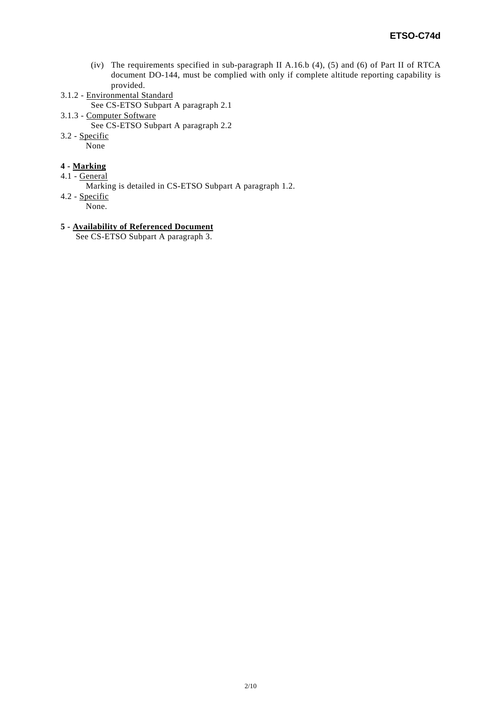- (iv) The requirements specified in sub-paragraph II A.16.b (4), (5) and (6) of Part II of RTCA document DO-144, must be complied with only if complete altitude reporting capability is provided.
- 3.1.2 Environmental Standard
	- See CS-ETSO Subpart A paragraph 2.1
- 3.1.3 Computer Software
	- See CS-ETSO Subpart A paragraph 2.2
- 3.2 Specific
	- None

## **4 - Marking**

- 4.1 General
	- Marking is detailed in CS-ETSO Subpart A paragraph 1.2.
- 4.2 Specific
	- None.

## **5 - Availability of Referenced Document**

See CS-ETSO Subpart A paragraph 3.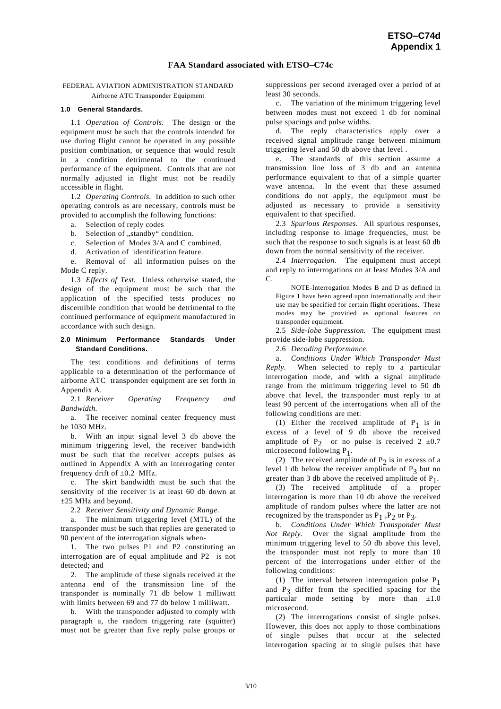## **FAA Standard associated with ETSO–C74c**

FEDERAL AVIATION ADMINISTRATION STANDARD Airborne ATC Transponder Equipment

#### **1.0 General Standards.**

 1.1 *Operation of Controls.* The design or the equipment must be such that the controls intended for use during flight cannot be operated in any possible position combination, or sequence that would result in a condition detrimental to the continued performance of the equipment. Controls that are not normally adjusted in flight must not be readily accessible in flight.

 1.2 *Operating Controls.* In addition to such other operating controls as are necessary, controls must be provided to accomplish the following functions:

- a. Selection of reply codes
- b. Selection of "standby" condition.

c. Selection of Modes 3/A and C combined.

d. Activation of identification feature.

 e. Removal of all information pulses on the Mode C reply.

 1.3 *Effects of Test.* Unless otherwise stated, the design of the equipment must be such that the application of the specified tests produces no discernible condition that would be detrimental to the continued performance of equipment manufactured in accordance with such design.

#### **2.0 Minimum Performance Standards Under Standard Conditions.**

 The test conditions and definitions of terms applicable to a determination of the performance of airborne ATC transponder equipment are set forth in Appendix A.

 2.1 *Receiver Operating Frequency and Bandwidth.* 

 a. The receiver nominal center frequency must be 1030 MHz.

 b. With an input signal level 3 db above the minimum triggering level, the receiver bandwidth must be such that the receiver accepts pulses as outlined in Appendix A with an interrogating center frequency drift of  $\pm 0.2$  MHz.

 c. The skirt bandwidth must be such that the sensitivity of the receiver is at least 60 db down at  $\pm 25$  MHz and beyond.

2.2 *Receiver Sensitivity and Dynamic Range.* 

 a. The minimum triggering level (MTL) of the transponder must be such that replies are generated to 90 percent of the interrogation signals when-

 1. The two pulses P1 and P2 constituting an interrogation are of equal amplitude and P2 is not detected; and

 2. The amplitude of these signals received at the antenna end of the transmission line of the transponder is nominally 71 db below 1 milliwatt with limits between 69 and 77 db below 1 milliwatt.

 b. With the transponder adjusted to comply with paragraph a, the random triggering rate (squitter) must not be greater than five reply pulse groups or suppressions per second averaged over a period of at least 30 seconds.

 c. The variation of the minimum triggering level between modes must not exceed 1 db for nominal pulse spacings and pulse widths.

 d. The reply characteristics apply over a received signal amplitude range between minimum triggering level and 50 db above that level .

 e. The standards of this section assume a transmission line loss of 3 db and an antenna performance equivalent to that of a simple quarter wave antenna. In the event that these assumed conditions do not apply, the equipment must be adjusted as necessary to provide a sensitivity equivalent to that specified.

 2.3 *Spurious Responses.* All spurious responses, including response to image frequencies, must be such that the response to such signals is at least 60 db down from the normal sensitivity of the receiver.

 2.4 *Interrogation.* The equipment must accept and reply to interrogations on at least Modes 3/A and C.

 NOTE-Interrogation Modes B and D as defined in Figure 1 have been agreed upon internationally and their use may be specified for certain flight operations. These modes may be provided as optional features on transponder equipment.

 2.5 *Side-lobe Suppression.* The equipment must provide side-lobe suppression.

2.6 *Decoding Performance.* 

 a. *Conditions Under Which Transponder Must Reply.* When selected to reply to a particular interrogation mode, and with a signal amplitude range from the minimum triggering level to 50 db above that level, the transponder must reply to at least 90 percent of the interrogations when all of the following conditions are met:

(1) Either the received amplitude of  $P_1$  is in excess of a level of 9 db above the received amplitude of P<sub>2</sub> or no pulse is received 2  $\pm 0.7$ microsecond following P1.

(2) The received amplitude of  $P_2$  is in excess of a level 1 db below the receiver amplitude of  $P_3$  but no greater than 3 db above the received amplitude of  $P_1$ .

 (3) The received amplitude of a proper interrogation is more than 10 db above the received amplitude of random pulses where the latter are not recognized by the transponder as  $P_1$ ,  $P_2$  or  $P_3$ .

 b. *Conditions Under Which Transponder Must Not Reply.* Over the signal amplitude from the minimum triggering level to 50 db above this level, the transponder must not reply to more than 10 percent of the interrogations under either of the following conditions:

(1) The interval between interrogation pulse  $P_1$ and  $P_3$  differ from the specified spacing for the particular mode setting by more than  $\pm 1.0$ microsecond.

 (2) The interrogations consist of single pulses. However, this does not apply to those combinations of single pulses that occur at the selected interrogation spacing or to single pulses that have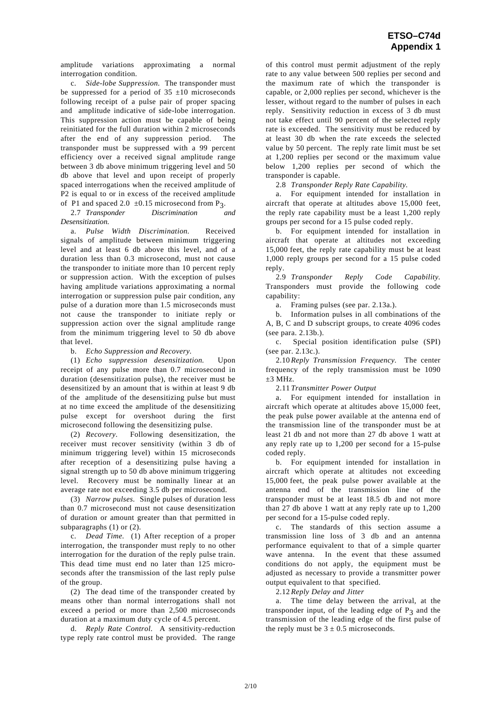amplitude variations approximating a normal interrogation condition.

 c. *Side-lobe Suppression.* The transponder must be suppressed for a period of  $35 \pm 10$  microseconds following receipt of a pulse pair of proper spacing and amplitude indicative of side-lobe interrogation. This suppression action must be capable of being reinitiated for the full duration within 2 microseconds after the end of any suppression period. The transponder must be suppressed with a 99 percent efficiency over a received signal amplitude range between 3 db above minimum triggering level and 50 db above that level and upon receipt of properly spaced interrogations when the received amplitude of P2 is equal to or in excess of the received amplitude

of P1 and spaced 2.0  $\pm 0.15$  microsecond from P<sub>3</sub>.<br>2.7 *Transponder Discrimination and* 2.7 *Transponder Desensitization.* 

 a. *Pulse Width Discrimination.* Received signals of amplitude between minimum triggering level and at least 6 db above this level, and of a duration less than 0.3 microsecond, must not cause the transponder to initiate more than 10 percent reply or suppression action. With the exception of pulses having amplitude variations approximating a normal interrogation or suppression pulse pair condition, any pulse of a duration more than 1.5 microseconds must not cause the transponder to initiate reply or suppression action over the signal amplitude range from the minimum triggering level to 50 db above that level.

b. *Echo Suppression and Recovery.* 

 (1) *Echo suppression desensitization.* Upon receipt of any pulse more than 0.7 microsecond in duration (desensitization pulse), the receiver must be desensitized by an amount that is within at least 9 db of the amplitude of the desensitizing pulse but must at no time exceed the amplitude of the desensitizing pulse except for overshoot during the first microsecond following the desensitizing pulse.

 (2) *Recovery.* Following desensitization, the receiver must recover sensitivity (within 3 db of minimum triggering level) within 15 microseconds after reception of a desensitizing pulse having a signal strength up to 50 db above minimum triggering level. Recovery must be nominally linear at an average rate not exceeding 3.5 db per microsecond.

 (3) *Narrow pulses.* Single pulses of duration less than 0.7 microsecond must not cause desensitization of duration or amount greater than that permitted in subparagraphs (1) or (2).

 c. *Dead Time.* (1) After reception of a proper interrogation, the transponder must reply to no other interrogation for the duration of the reply pulse train. This dead time must end no later than 125 microseconds after the transmission of the last reply pulse of the group.

 (2) The dead time of the transponder created by means other than normal interrogations shall not exceed a period or more than 2,500 microseconds duration at a maximum duty cycle of 4.5 percent.

 d. *Reply Rate Control.* A sensitivity-reduction type reply rate control must be provided. The range

of this control must permit adjustment of the reply rate to any value between 500 replies per second and the maximum rate of which the transponder is capable, or 2,000 replies per second, whichever is the lesser, without regard to the number of pulses in each reply. Sensitivity reduction in excess of 3 db must not take effect until 90 percent of the selected reply rate is exceeded. The sensitivity must be reduced by at least 30 db when the rate exceeds the selected value by 50 percent. The reply rate limit must be set at 1,200 replies per second or the maximum value below 1,200 replies per second of which the transponder is capable.

2.8 *Transponder Reply Rate Capability.*

 a. For equipment intended for installation in aircraft that operate at altitudes above 15,000 feet, the reply rate capability must be a least 1,200 reply groups per second for a 15 pulse coded reply.

 b. For equipment intended for installation in aircraft that operate at altitudes not exceeding 15,000 feet, the reply rate capability must be at least 1,000 reply groups per second for a 15 pulse coded reply.

 2.9 *Transponder Reply Code Capability.*  Transponders must provide the following code capability:

a. Framing pulses (see par. 2.13a.).

 b. Information pulses in all combinations of the A, B, C and D subscript groups, to create 4096 codes (see para. 2.13b.).

 c. Special position identification pulse (SPI) (see par. 2.13c.).

 2.10 *Reply Transmission Frequency.* The center frequency of the reply transmission must be 1090  $+3$  MHz.

2.11 *Transmitter Power Output*

 a. For equipment intended for installation in aircraft which operate at altitudes above 15,000 feet, the peak pulse power available at the antenna end of the transmission line of the transponder must be at least 21 db and not more than 27 db above 1 watt at any reply rate up to 1,200 per second for a 15-pulse coded reply.

 b. For equipment intended for installation in aircraft which operate at altitudes not exceeding 15,000 feet, the peak pulse power available at the antenna end of the transmission line of the transponder must be at least 18.5 db and not more than 27 db above 1 watt at any reply rate up to 1,200 per second for a 15-pulse coded reply.

 c. The standards of this section assume a transmission line loss of 3 db and an antenna performance equivalent to that of a simple quarter wave antenna. In the event that these assumed conditions do not apply, the equipment must be adjusted as necessary to provide a transmitter power output equivalent to that specified.

2.12 *Reply Delay and Jitter* 

 a. The time delay between the arrival, at the transponder input, of the leading edge of  $P_3$  and the transmission of the leading edge of the first pulse of the reply must be  $3 \pm 0.5$  microseconds.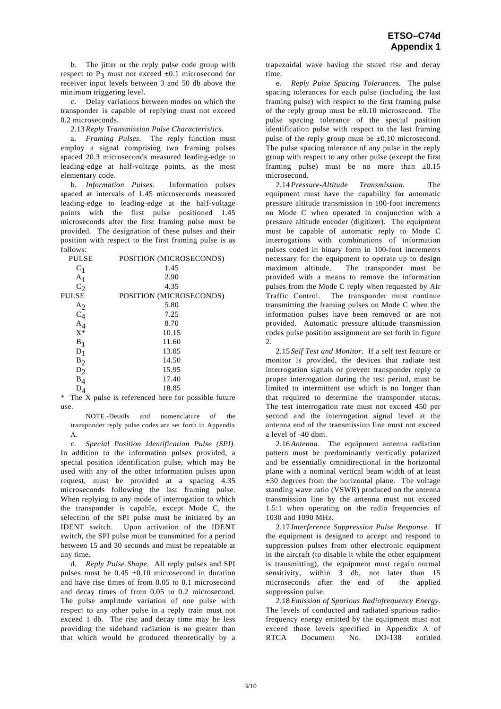b. The jitter or the reply pulse code group with respect to  $P_3$  must not exceed  $\pm 0.1$  microsecond for receiver input levels between 3 and 50 db above the minimum triggering level.

 c. Delay variations between modes on which the transponder is capable of replying must not exceed 0.2 microseconds.

2.13 *Reply Transmission Pulse Characteristics.* 

 a. *Framing Pulses.* The reply function must employ a signal comprising two framing pulses spaced 20.3 microseconds measured leading-edge to leading-edge at half-voltage points, as the most elementary code.

 b. *Information Pulses.* Information pulses spaced at intervals of 1.45 microseconds measured leading-edge to leading-edge at the half-voltage points with the first pulse positioned 1.45 microseconds after the first framing pulse must be provided. The designation of these pulses and their position with respect to the first framing pulse is as follows:

| <b>PULSE</b>   | POSITION (MICROSECONDS) |
|----------------|-------------------------|
| $C_1$          | 1.45                    |
| A <sub>1</sub> | 2.90                    |
| $C_2$          | 4.35                    |
| <b>PULSE</b>   | POSITION (MICROSECONDS) |
| $A_2$          | 5.80                    |
| $C_4$          | 7.25                    |
| $A_4$          | 8.70                    |
| $X^*$          | 10.15                   |
| $B_1$          | 11.60                   |
| $D_1$          | 13.05                   |
| $B_2$          | 14.50                   |
| $D_2$          | 15.95                   |
| $B_4$          | 17.40                   |
| D,             | 18.85                   |

 $D_4$  18.85<br>\* The X pulse is referenced here for possible future use.

 NOTE.-Details and nomenclature of the transponder reply pulse codes are set forth in Appendix A.

 c. *Special Position Identification Pulse (SPI).* In addition to the information pulses provided, a special position identification pulse, which may be used with any of the other information pulses upon request, must be provided at a spacing 4.35 microseconds following the last framing pulse. When replying to any mode of interrogation to which the transponder is capable, except Mode C, the selection of the SPI pulse must be initiated by an IDENT switch. Upon activation of the IDENT switch, the SPI pulse must be transmitted for a period between 15 and 30 seconds and must be repeatable at any time.

 d. *Reply Pulse Shape.* All reply pulses and SPI pulses must be  $0.45 \pm 0.10$  microsecond in duration and have rise times of from 0.05 to 0.1 microsecond and decay times of from 0.05 to 0.2 microsecond. The pulse amplitude variation of one pulse with respect to any other pulse in a reply train must not exceed 1 db. The rise and decay time may be less providing the sideband radiation is no greater than that which would be produced theoretically by a trapezoidal wave having the stated rise and decay time.

 e. *Reply Pulse Spacing Tolerances.* The pulse spacing tolerances for each pulse (including the last framing pulse) with respect to the first framing pulse of the reply group must be  $\pm 0.10$  microsecond. The pulse spacing tolerance of the special position identification pulse with respect to the last framing pulse of the reply group must be  $\pm 0.10$  microsecond. The pulse spacing tolerance of any pulse in the reply group with respect to any other pulse (except the first framing pulse) must be no more than  $\pm 0.15$ microsecond.

 2.14 *Pressure-Altitude Transmission.* The equipment must have the capability for automatic pressure altitude transmission in 100-foot increments on Mode C when operated in conjunction with a pressure altitude encoder (digitizer). The equipment must be capable of automatic reply to Mode C interrogations with combinations of information pulses coded in binary form in 100-foot increments necessary for the equipment to operate up to design maximum altitude. The transponder must be provided with a means to remove the information pulses from the Mode C reply when requested by Air Traffic Control. The transponder must continue transmitting the framing pulses on Mode C when the information pulses have been removed or are not provided. Automatic pressure altitude transmission codes pulse position assignment are set forth in figure 2.

 2.15 *Self Test and Monitor.* If a self test feature or monitor is provided, the devices that radiate test interrogation signals or prevent transponder reply to proper interrogation during the test period, must be limited to intermittent use which is no longer than that required to determine the transponder status. The test interrogation rate must not exceed 450 per second and the interrogation signal level at the antenna end of the transmission line must not exceed a level of -40 dbm.

 2.16 *Antenna.* The equipment antenna radiation pattern must be predominantly vertically polarized and be essentially omnidirectional in the horizontal plane with a nominal vertical beam width of at least  $\pm 30$  degrees from the horizontal plane. The voltage standing wave ratio (VSWR) produced on the antenna transmission line by the antenna must not exceed 1.5:1 when operating on the radio frequencies of 1030 and 1090 MHz.

 2.17 *Interference Suppression Pulse Response.* If the equipment is designed to accept and respond to suppression pulses from other electronic equipment in the aircraft (to disable it while the other equipment is transmitting), the equipment must regain normal sensitivity, within 3 db, not later than 15 microseconds after the end of the applied suppression pulse.

 2.18 *Emission of Spurious Radiofrequency Energy.*  The levels of conducted and radiated spurious radiofrequency energy emitted by the equipment must not exceed those levels specified in Appendix A of RTCA Document No. DO-138 entitled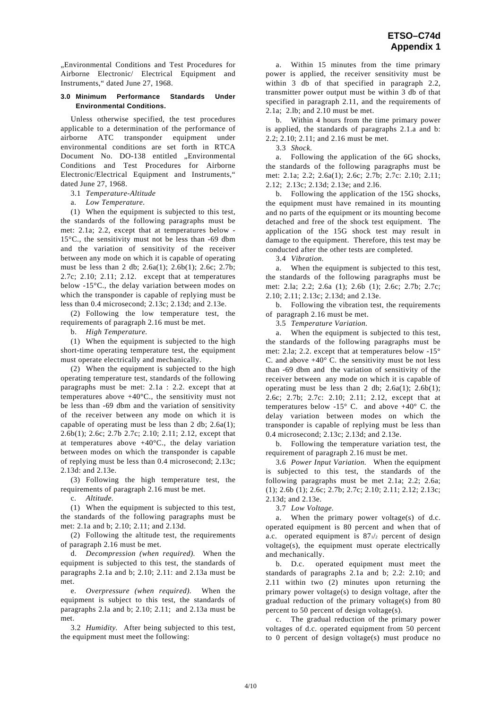"Environmental Conditions and Test Procedures for Airborne Electronic/ Electrical Equipment and Instruments," dated June 27, 1968.

### **3.0 Minimum Performance Standards Under Environmental Conditions.**

 Unless otherwise specified, the test procedures applicable to a determination of the performance of airborne ATC transponder equipment under environmental conditions are set forth in RTCA Document No. DO-138 entitled "Environmental Conditions and Test Procedures for Airborne Electronic/Electrical Equipment and Instruments," dated June 27, 1968.

3.1 *Temperature-Altitude* 

a. *Low Temperature.* 

 (1) When the equipment is subjected to this test, the standards of the following paragraphs must be met: 2.1a; 2.2, except that at temperatures below - 15°C., the sensitivity must not be less than -69 dbm and the variation of sensitivity of the receiver between any mode on which it is capable of operating must be less than 2 db; 2.6a(1); 2.6b(1); 2.6c; 2.7b; 2.7c; 2.10; 2.11; 2.12. except that at temperatures below -15°C., the delay variation between modes on which the transponder is capable of replying must be less than 0.4 microsecond; 2.13c; 2.13d; and 2.13e.

 (2) Following the low temperature test, the requirements of paragraph 2.16 must be met.

b. *High Temperature.* 

 (1) When the equipment is subjected to the high short-time operating temperature test, the equipment must operate electrically and mechanically.

 (2) When the equipment is subjected to the high operating temperature test, standards of the following paragraphs must be met: 2.1a : 2.2. except that at temperatures above +40°C., the sensitivity must not be less than -69 dbm and the variation of sensitivity of the receiver between any mode on which it is capable of operating must be less than 2 db; 2.6a(1); 2.6b(1); 2.6c; 2.7b 2.7c; 2.10; 2.11; 2.12, except that at temperatures above  $+40^{\circ}$ C., the delay variation between modes on which the transponder is capable of replying must be less than 0.4 microsecond; 2.13c; 2.13d: and 2.13e.

 (3) Following the high temperature test, the requirements of paragraph 2.16 must be met.

c. *Altitude.*

 (1) When the equipment is subjected to this test, the standards of the following paragraphs must be met: 2.1a and b; 2.10; 2.11; and 2.13d.

 (2) Following the altitude test, the requirements of paragraph 2.16 must be met.

 d. *Decompression (when required).* When the equipment is subjected to this test, the standards of paragraphs 2.1a and b; 2.10; 2.11: and 2.13a must be met.

 e. *Overpressure (when required).* When the equipment is subject to this test, the standards of paragraphs 2.la and b; 2.10; 2.11; and 2.13a must be met.

 3.2 *Humidity.* After being subjected to this test, the equipment must meet the following:

 a. Within 15 minutes from the time primary power is applied, the receiver sensitivity must be within 3 db of that specified in paragraph 2.2, transmitter power output must be within 3 db of that specified in paragraph 2.11, and the requirements of 2.1a; 2.lb; and 2.10 must be met.

 b. Within 4 hours from the time primary power is applied, the standards of paragraphs 2.1.a and b: 2.2; 2.10; 2.11; and 2.16 must be met.

3.3 *Shock.*

 a. Following the application of the 6G shocks, the standards of the following paragraphs must be met: 2.1a; 2.2; 2.6a(1); 2.6c; 2.7b; 2.7c: 2.10; 2.11; 2.12; 2.13c; 2.13d; 2.13e; and 2.l6.

 b. Following the application of the 15G shocks, the equipment must have remained in its mounting and no parts of the equipment or its mounting become detached and free of the shock test equipment. The application of the 15G shock test may result in damage to the equipment. Therefore, this test may be conducted after the other tests are completed.

3.4 *Vibration.*

 a. When the equipment is subjected to this test, the standards of the following paragraphs must be met: 2.la; 2.2; 2.6a (1); 2.6b (1); 2.6c; 2.7b; 2.7c; 2.10; 2.11; 2.13c; 2.13d; and 2.13e.

 b. Following the vibration test, the requirements of paragraph 2.16 must be met.

3.5 *Temperature Variation.* 

 a. When the equipment is subjected to this test, the standards of the following paragraphs must be met: 2.la; 2.2. except that at temperatures below -15° C. and above  $+40^{\circ}$  C. the sensitivity must be not less than -69 dbm and the variation of sensitivity of the receiver between any mode on which it is capable of operating must be less than 2 db;  $2.6a(1)$ ;  $2.6b(1)$ ; 2.6c; 2.7b; 2.7c: 2.10; 2.11; 2.12, except that at temperatures below  $-15^{\circ}$  C. and above  $+40^{\circ}$  C. the delay variation between modes on which the transponder is capable of replying must be less than 0.4 microsecond; 2.13c; 2.13d; and 2.13e.

 b. Following the temperature variation test, the requirement of paragraph 2.16 must be met.

 3.6 *Power Input Variation.* When the equipment is subjected to this test, the standards of the following paragraphs must be met 2.1a; 2.2; 2.6a; (1); 2.6b (1); 2.6c; 2.7b; 2.7c; 2.10; 2.11; 2.12; 2.13c; 2.13d; and 2.13e.

3.7 *Low Voltage.* 

 a. When the primary power voltage(s) of d.c. operated equipment is 80 percent and when that of a.c. operated equipment is 871/2 percent of design voltage(s), the equipment must operate electrically and mechanically.

 b. D.c. operated equipment must meet the standards of paragraphs 2.1a and b; 2.2: 2.10; and 2.11 within two (2) minutes upon returning the primary power voltage(s) to design voltage, after the gradual reduction of the primary voltage(s) from 80 percent to 50 percent of design voltage(s).

 c. The gradual reduction of the primary power voltages of d.c. operated equipment from 50 percent to 0 percent of design voltage(s) must produce no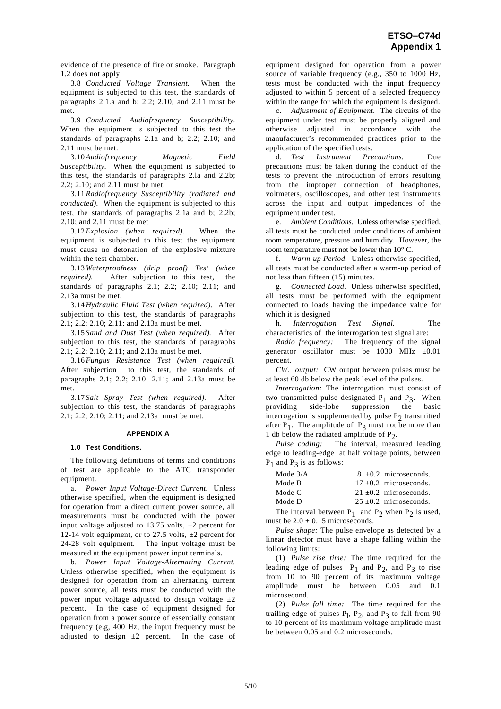evidence of the presence of fire or smoke. Paragraph 1.2 does not apply.

 3.8 *Conducted Voltage Transient.* When the equipment is subjected to this test, the standards of paragraphs 2.1.a and b: 2.2; 2.10; and 2.11 must be met.

 3.9 *Conducted Audiofrequency Susceptibility.*  When the equipment is subjected to this test the standards of paragraphs 2.1a and b; 2.2; 2.10; and 2.11 must be met.

 3.10 *Audiofrequency Magnetic Field Susceptibility.* When the equipment is subjected to this test, the standards of paragraphs 2.la and 2.2b; 2.2; 2.10; and 2.11 must be met.

 3.11 *Radiofrequency Susceptibility (radiated and conducted).* When the equipment is subjected to this test, the standards of paragraphs 2.1a and b; 2.2b; 2.10; and 2.11 must be met

 3.12 *Explosion (when required).* When the equipment is subjected to this test the equipment must cause no detonation of the explosive mixture within the test chamber.

 3.13 *Waterproofness (drip proof) Test (when required).* After subjection to this test, the standards of paragraphs 2.1; 2.2; 2.10; 2.11; and 2.13a must be met.

 3.14 *Hydraulic Fluid Test (when required).* After subjection to this test, the standards of paragraphs 2.1; 2.2; 2.10; 2.11: and 2.13a must be met.

 3.15 *Sand and Dust Test (when required).* After subjection to this test, the standards of paragraphs 2.1; 2.2; 2.10; 2.11; and 2.13a must be met.

 3.16 *Fungus Resistance Test (when required).* After subjection to this test, the standards of paragraphs 2.1; 2.2; 2.10: 2.11; and 2.13a must be met.

 3.17 *Salt Spray Test (when required).* After subjection to this test, the standards of paragraphs 2.1; 2.2; 2.10; 2.11; and 2.13a must be met.

#### **APPENDIX A**

#### **1.0 Test Conditions.**

 The following definitions of terms and conditions of test are applicable to the ATC transponder equipment.

 a. *Power Input Voltage-Direct Current.* Unless otherwise specified, when the equipment is designed for operation from a direct current power source, all measurements must be conducted with the power input voltage adjusted to 13.75 volts,  $\pm 2$  percent for 12-14 volt equipment, or to 27.5 volts,  $\pm 2$  percent for 24-28 volt equipment. The input voltage must be measured at the equipment power input terminals.

 b. *Power Input Voltage-Alternating Current.* Unless otherwise specified, when the equipment is designed for operation from an alternating current power source, all tests must be conducted with the power input voltage adjusted to design voltage  $\pm 2$ percent. In the case of equipment designed for operation from a power source of essentially constant frequency (e.g, 400 Hz, the input frequency must be adjusted to design  $\pm 2$  percent. In the case of

equipment designed for operation from a power source of variable frequency (e.g., 350 to 1000 Hz, tests must be conducted with the input frequency adjusted to within 5 percent of a selected frequency within the range for which the equipment is designed.

 c. *Adjustment of Equipment.* The circuits of the equipment under test must be properly aligned and otherwise adjusted in accordance with the manufacturer's recommended practices prior to the application of the specified tests.

 d. *Test Instrument Precautions.* Due precautions must be taken during the conduct of the tests to prevent the introduction of errors resulting from the improper connection of headphones, voltmeters, oscilloscopes, and other test instruments across the input and output impedances of the equipment under test.

 e. *Ambient Conditions.* Unless otherwise specified, all tests must be conducted under conditions of ambient room temperature, pressure and humidity. However, the room temperature must not be lower than 10° C.

 f. *Warm-up Period.* Unless otherwise specified, all tests must be conducted after a warm-up period of not less than fifteen (15) minutes.

 g. *Connected Load.* Unless otherwise specified, all tests must be performed with the equipment connected to loads having the impedance value for which it is designed

 h. *Interrogation Test Signal.* The characteristics of the interrogation test signal are:

*Radio frequency:* The frequency of the signal generator oscillator must be 1030 MHz  $\pm 0.01$ percent.

*CW. output:* CW output between pulses must be at least 60 db below the peak level of the pulses.

*Interrogation:* The interrogation must consist of two transmitted pulse designated  $P_1$  and  $P_3$ . When<br>providing side-lobe suppression the basic suppression the interrogation is supplemented by pulse  $P<sub>2</sub>$  transmitted after  $P_1$ . The amplitude of  $P_2$  must not be more than 1 db below the radiated amplitude of  $P_2$ .

*Pulse coding:* The interval, measured leading edge to leading-edge at half voltage points, between  $P_1$  and  $P_3$  is as follows:

| Mode $3/A$ | $8 + 0.2$ microseconds.  |
|------------|--------------------------|
| Mode B     | $17 + 0.2$ microseconds. |
| Mode C     | $21 + 0.2$ microseconds. |
| Mode D     | $25 + 0.2$ microseconds. |

The interval between  $P_1$  and  $P_2$  when  $P_2$  is used, must be  $2.0 \pm 0.15$  microseconds.

*Pulse shape:* The pulse envelope as detected by a linear detector must have a shape falling within the following limits:

 (1) *Pulse rise time:* The time required for the leading edge of pulses  $P_1$  and  $P_2$ , and  $P_3$  to rise from 10 to 90 percent of its maximum voltage amplitude must be between 0.05 and 0.1 microsecond.

 (2) *Pulse fall time:* The time required for the trailing edge of pulses  $P_1$ ,  $P_2$ , and  $P_3$  to fall from 90 to 10 percent of its maximum voltage amplitude must be between 0.05 and 0.2 microseconds.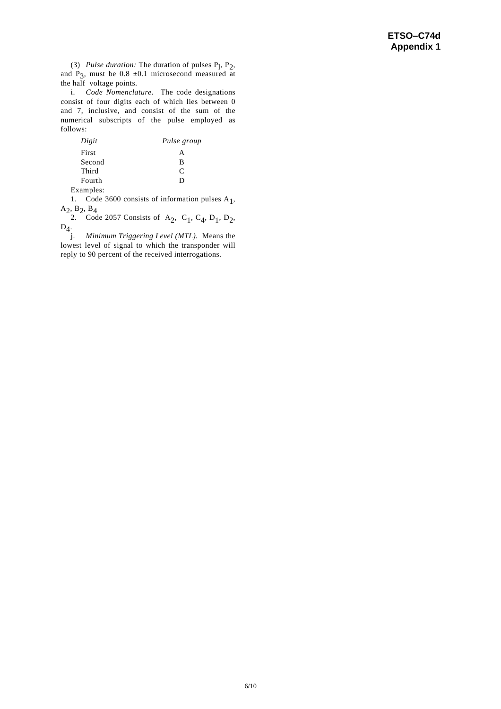(3) *Pulse duration:* The duration of pulses  $P_1$ ,  $P_2$ , and P<sub>3</sub>, must be 0.8  $\pm$ 0.1 microsecond measured at the half voltage points.

 i. *Code Nomenclature.* The code designations consist of four digits each of which lies between 0 and 7, inclusive, and consist of the sum of the numerical subscripts of the pulse employed as follows:

| Digit  | Pulse group   |
|--------|---------------|
| First  | А             |
| Second | в             |
| Third  | $\mathcal{C}$ |
| Fourth | ו ו           |

Examples:

1. Code 3600 consists of information pulses  $A_1$ ,  $A_2$ ,  $B_2$ ,  $B_4$ 

2. Code 2057 Consists of A<sub>2</sub>, C<sub>1</sub>, C<sub>4</sub>, D<sub>1</sub>, D<sub>2</sub>,  $D_4$ .

 j. *Minimum Triggering Level (MTL).* Means the lowest level of signal to which the transponder will reply to 90 percent of the received interrogations.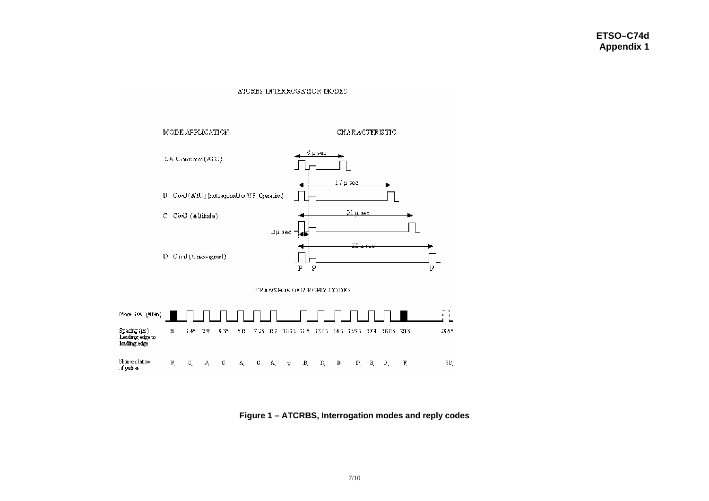#### ATCRBS INTERROGATION MODES



**Figure 1 – ATCRBS, Interrogation modes and reply codes**